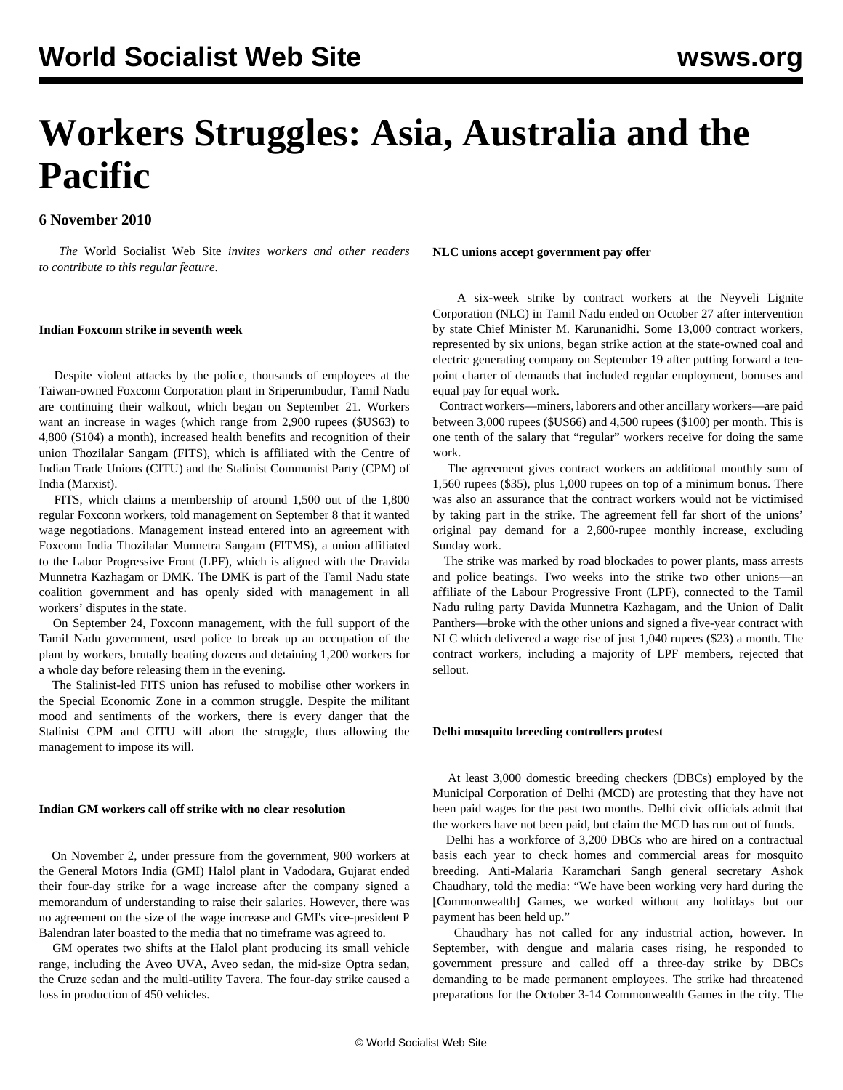# **Workers Struggles: Asia, Australia and the Pacific**

# **6 November 2010**

 *The* World Socialist Web Site *invites workers and other readers to [contribute](/wsws/dd-formmailer/dd-formmailer.php) to this regular feature*.

# **Indian Foxconn strike in seventh week**

 Despite violent attacks by the police, thousands of employees at the Taiwan-owned Foxconn Corporation plant in Sriperumbudur, Tamil Nadu are continuing their walkout, which began on September 21. Workers want an increase in wages (which range from 2,900 rupees (\$US63) to 4,800 (\$104) a month), increased health benefits and recognition of their union Thozilalar Sangam (FITS), which is affiliated with the Centre of Indian Trade Unions (CITU) and the Stalinist Communist Party (CPM) of India (Marxist).

 FITS, which claims a membership of around 1,500 out of the 1,800 regular Foxconn workers, told management on September 8 that it wanted wage negotiations. Management instead entered into an agreement with Foxconn India Thozilalar Munnetra Sangam (FITMS), a union affiliated to the Labor Progressive Front (LPF), which is aligned with the Dravida Munnetra Kazhagam or DMK. The DMK is part of the Tamil Nadu state coalition government and has openly sided with management in all workers' disputes in the state.

 On September 24, Foxconn management, with the full support of the Tamil Nadu government, used police to break up an occupation of the plant by workers, brutally beating dozens and detaining 1,200 workers for a whole day before releasing them in the evening.

 The Stalinist-led FITS union has refused to mobilise other workers in the Special Economic Zone in a common struggle. Despite the militant mood and sentiments of the workers, there is every danger that the Stalinist CPM and CITU will abort the struggle, thus allowing the management to impose its will.

## **Indian GM workers call off strike with no clear resolution**

 On November 2, under pressure from the government, 900 workers at the General Motors India (GMI) Halol plant in Vadodara, Gujarat ended their four-day strike for a wage increase after the company signed a memorandum of understanding to raise their salaries. However, there was no agreement on the size of the wage increase and GMI's vice-president P Balendran later boasted to the media that no timeframe was agreed to.

 GM operates two shifts at the Halol plant producing its small vehicle range, including the Aveo UVA, Aveo sedan, the mid-size Optra sedan, the Cruze sedan and the multi-utility Tavera. The four-day strike caused a loss in production of 450 vehicles.

**NLC unions accept government pay offer**

 A six-week strike by contract workers at the Neyveli Lignite Corporation (NLC) in Tamil Nadu ended on October 27 after intervention by state Chief Minister M. Karunanidhi. Some 13,000 contract workers, represented by six unions, began strike action at the state-owned coal and electric generating company on September 19 after putting forward a tenpoint charter of demands that included regular employment, bonuses and equal pay for equal work.

 Contract workers—miners, laborers and other ancillary workers—are paid between 3,000 rupees (\$US66) and 4,500 rupees (\$100) per month. This is one tenth of the salary that "regular" workers receive for doing the same work.

 The agreement gives contract workers an additional monthly sum of 1,560 rupees (\$35), plus 1,000 rupees on top of a minimum bonus. There was also an assurance that the contract workers would not be victimised by taking part in the strike. The agreement fell far short of the unions' original pay demand for a 2,600-rupee monthly increase, excluding Sunday work.

 The strike was marked by road blockades to power plants, mass arrests and police beatings. Two weeks into the strike two other unions—an affiliate of the Labour Progressive Front (LPF), connected to the Tamil Nadu ruling party Davida Munnetra Kazhagam, and the Union of Dalit Panthers—broke with the other unions and signed a five-year contract with NLC which delivered a wage rise of just 1,040 rupees (\$23) a month. The contract workers, including a majority of LPF members, rejected that sellout.

# **Delhi mosquito breeding controllers protest**

 At least 3,000 domestic breeding checkers (DBCs) employed by the Municipal Corporation of Delhi (MCD) are protesting that they have not been paid wages for the past two months. Delhi civic officials admit that the workers have not been paid, but claim the MCD has run out of funds.

 Delhi has a workforce of 3,200 DBCs who are hired on a contractual basis each year to check homes and commercial areas for mosquito breeding. Anti-Malaria Karamchari Sangh general secretary Ashok Chaudhary, told the media: "We have been working very hard during the [Commonwealth] Games, we worked without any holidays but our payment has been held up."

 Chaudhary has not called for any industrial action, however. In September, with dengue and malaria cases rising, he responded to government pressure and called off a three-day strike by DBCs demanding to be made permanent employees. The strike had threatened preparations for the October 3-14 Commonwealth Games in the city. The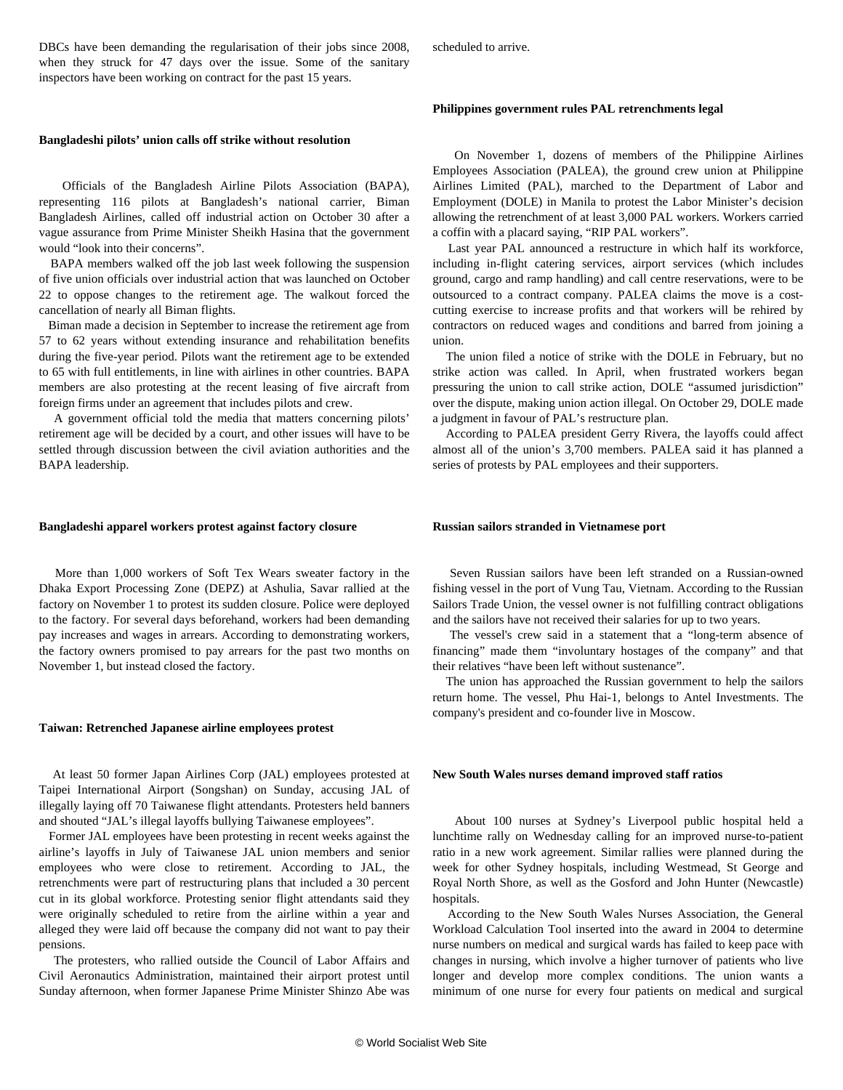DBCs have been demanding the regularisation of their jobs since 2008, when they struck for 47 days over the issue. Some of the sanitary inspectors have been working on contract for the past 15 years.

#### **Bangladeshi pilots' union calls off strike without resolution**

 Officials of the Bangladesh Airline Pilots Association (BAPA), representing 116 pilots at Bangladesh's national carrier, Biman Bangladesh Airlines, called off industrial action on October 30 after a vague assurance from Prime Minister Sheikh Hasina that the government would "look into their concerns".

 BAPA members walked off the job last week following the suspension of five union officials over industrial action that was launched on October 22 to oppose changes to the retirement age. The walkout forced the cancellation of nearly all Biman flights.

 Biman made a decision in September to increase the retirement age from 57 to 62 years without extending insurance and rehabilitation benefits during the five-year period. Pilots want the retirement age to be extended to 65 with full entitlements, in line with airlines in other countries. BAPA members are also protesting at the recent leasing of five aircraft from foreign firms under an agreement that includes pilots and crew.

 A government official told the media that matters concerning pilots' retirement age will be decided by a court, and other issues will have to be settled through discussion between the civil aviation authorities and the BAPA leadership.

#### **Bangladeshi apparel workers protest against factory closure**

 More than 1,000 workers of Soft Tex Wears sweater factory in the Dhaka Export Processing Zone (DEPZ) at Ashulia, Savar rallied at the factory on November 1 to protest its sudden closure. Police were deployed to the factory. For several days beforehand, workers had been demanding pay increases and wages in arrears. According to demonstrating workers, the factory owners promised to pay arrears for the past two months on November 1, but instead closed the factory.

#### **Taiwan: Retrenched Japanese airline employees protest**

 At least 50 former Japan Airlines Corp (JAL) employees protested at Taipei International Airport (Songshan) on Sunday, accusing JAL of illegally laying off 70 Taiwanese flight attendants. Protesters held banners and shouted "JAL's illegal layoffs bullying Taiwanese employees".

 Former JAL employees have been protesting in recent weeks against the airline's layoffs in July of Taiwanese JAL union members and senior employees who were close to retirement. According to JAL, the retrenchments were part of restructuring plans that included a 30 percent cut in its global workforce. Protesting senior flight attendants said they were originally scheduled to retire from the airline within a year and alleged they were laid off because the company did not want to pay their pensions.

 The protesters, who rallied outside the Council of Labor Affairs and Civil Aeronautics Administration, maintained their airport protest until Sunday afternoon, when former Japanese Prime Minister Shinzo Abe was scheduled to arrive.

#### **Philippines government rules PAL retrenchments legal**

 On November 1, dozens of members of the Philippine Airlines Employees Association (PALEA), the ground crew union at Philippine Airlines Limited (PAL), marched to the Department of Labor and Employment (DOLE) in Manila to protest the Labor Minister's decision allowing the retrenchment of at least 3,000 PAL workers. Workers carried a coffin with a placard saying, "RIP PAL workers".

 Last year PAL announced a restructure in which half its workforce, including in-flight catering services, airport services (which includes ground, cargo and ramp handling) and call centre reservations, were to be outsourced to a contract company. PALEA claims the move is a costcutting exercise to increase profits and that workers will be rehired by contractors on reduced wages and conditions and barred from joining a union.

 The union filed a notice of strike with the DOLE in February, but no strike action was called. In April, when frustrated workers began pressuring the union to call strike action, DOLE "assumed jurisdiction" over the dispute, making union action illegal. On October 29, DOLE made a judgment in favour of PAL's restructure plan.

 According to PALEA president Gerry Rivera, the layoffs could affect almost all of the union's 3,700 members. PALEA said it has planned a series of protests by PAL employees and their supporters.

#### **Russian sailors stranded in Vietnamese port**

 Seven Russian sailors have been left stranded on a Russian-owned fishing vessel in the port of Vung Tau, Vietnam. According to the Russian Sailors Trade Union, the vessel owner is not fulfilling contract obligations and the sailors have not received their salaries for up to two years.

 The vessel's crew said in a statement that a "long-term absence of financing" made them "involuntary hostages of the company" and that their relatives "have been left without sustenance".

 The union has approached the Russian government to help the sailors return home. The vessel, Phu Hai-1, belongs to Antel Investments. The company's president and co-founder live in Moscow.

#### **New South Wales nurses demand improved staff ratios**

 About 100 nurses at Sydney's Liverpool public hospital held a lunchtime rally on Wednesday calling for an improved nurse-to-patient ratio in a new work agreement. Similar rallies were planned during the week for other Sydney hospitals, including Westmead, St George and Royal North Shore, as well as the Gosford and John Hunter (Newcastle) hospitals.

 According to the New South Wales Nurses Association, the General Workload Calculation Tool inserted into the award in 2004 to determine nurse numbers on medical and surgical wards has failed to keep pace with changes in nursing, which involve a higher turnover of patients who live longer and develop more complex conditions. The union wants a minimum of one nurse for every four patients on medical and surgical